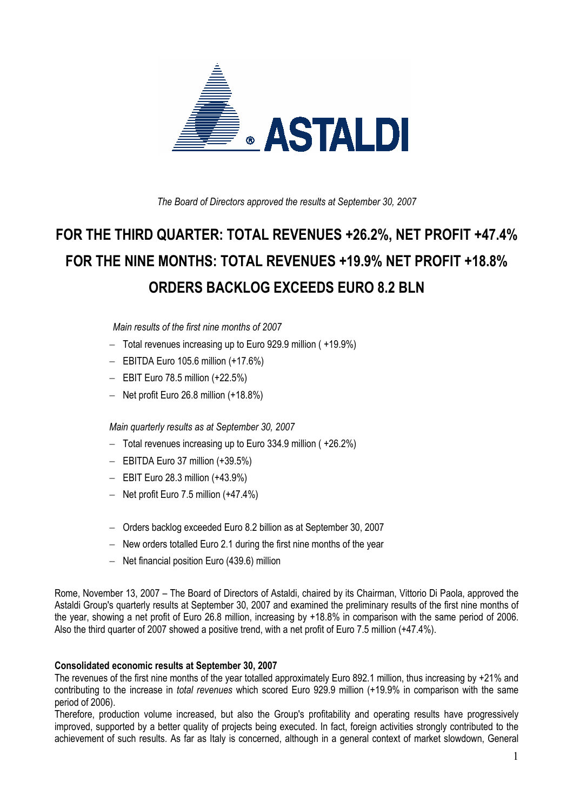

*The Board of Directors approved the results at September 30, 2007* 

# **FOR THE THIRD QUARTER: TOTAL REVENUES +26.2%, NET PROFIT +47.4% FOR THE NINE MONTHS: TOTAL REVENUES +19.9% NET PROFIT +18.8% ORDERS BACKLOG EXCEEDS EURO 8.2 BLN**

 *Main results of the first nine months of 2007* 

- − Total revenues increasing up to Euro 929.9 million ( +19.9%)
- − EBITDA Euro 105.6 million (+17.6%)
- − EBIT Euro 78.5 million (+22.5%)
- − Net profit Euro 26.8 million (+18.8%)

*Main quarterly results as at September 30, 2007* 

- − Total revenues increasing up to Euro 334.9 million ( +26.2%)
- − EBITDA Euro 37 million (+39.5%)
- − EBIT Euro 28.3 million (+43.9%)
- − Net profit Euro 7.5 million (+47.4%)
- − Orders backlog exceeded Euro 8.2 billion as at September 30, 2007
- − New orders totalled Euro 2.1 during the first nine months of the year
- − Net financial position Euro (439.6) million

Rome, November 13, 2007 – The Board of Directors of Astaldi, chaired by its Chairman, Vittorio Di Paola, approved the Astaldi Group's quarterly results at September 30, 2007 and examined the preliminary results of the first nine months of the year, showing a net profit of Euro 26.8 million, increasing by +18.8% in comparison with the same period of 2006. Also the third quarter of 2007 showed a positive trend, with a net profit of Euro 7.5 million (+47.4%).

### **Consolidated economic results at September 30, 2007**

The revenues of the first nine months of the year totalled approximately Euro 892.1 million, thus increasing by +21% and contributing to the increase in *total revenues* which scored Euro 929.9 million (+19.9% in comparison with the same period of 2006).

Therefore, production volume increased, but also the Group's profitability and operating results have progressively improved, supported by a better quality of projects being executed. In fact, foreign activities strongly contributed to the achievement of such results. As far as Italy is concerned, although in a general context of market slowdown, General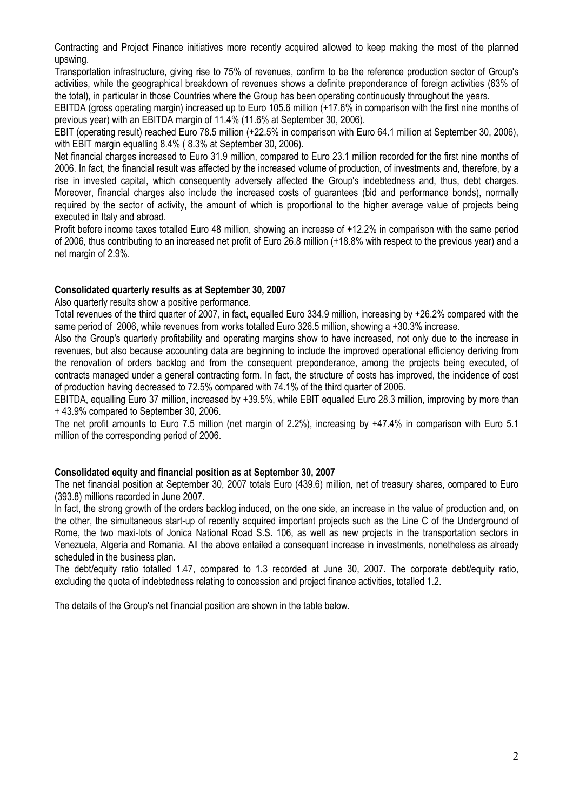Contracting and Project Finance initiatives more recently acquired allowed to keep making the most of the planned upswing.

Transportation infrastructure, giving rise to 75% of revenues, confirm to be the reference production sector of Group's activities, while the geographical breakdown of revenues shows a definite preponderance of foreign activities (63% of the total), in particular in those Countries where the Group has been operating continuously throughout the years.

EBITDA (gross operating margin) increased up to Euro 105.6 million (+17.6% in comparison with the first nine months of previous year) with an EBITDA margin of 11.4% (11.6% at September 30, 2006).

EBIT (operating result) reached Euro 78.5 million (+22.5% in comparison with Euro 64.1 million at September 30, 2006), with EBIT margin equalling 8.4% ( 8.3% at September 30, 2006).

Net financial charges increased to Euro 31.9 million, compared to Euro 23.1 million recorded for the first nine months of 2006. In fact, the financial result was affected by the increased volume of production, of investments and, therefore, by a rise in invested capital, which consequently adversely affected the Group's indebtedness and, thus, debt charges. Moreover, financial charges also include the increased costs of guarantees (bid and performance bonds), normally required by the sector of activity, the amount of which is proportional to the higher average value of projects being executed in Italy and abroad.

Profit before income taxes totalled Euro 48 million, showing an increase of +12.2% in comparison with the same period of 2006, thus contributing to an increased net profit of Euro 26.8 million (+18.8% with respect to the previous year) and a net margin of 2.9%.

### **Consolidated quarterly results as at September 30, 2007**

Also quarterly results show a positive performance.

Total revenues of the third quarter of 2007, in fact, equalled Euro 334.9 million, increasing by +26.2% compared with the same period of 2006, while revenues from works totalled Euro 326.5 million, showing a +30.3% increase.

Also the Group's quarterly profitability and operating margins show to have increased, not only due to the increase in revenues, but also because accounting data are beginning to include the improved operational efficiency deriving from the renovation of orders backlog and from the consequent preponderance, among the projects being executed, of contracts managed under a general contracting form. In fact, the structure of costs has improved, the incidence of cost of production having decreased to 72.5% compared with 74.1% of the third quarter of 2006.

EBITDA, equalling Euro 37 million, increased by +39.5%, while EBIT equalled Euro 28.3 million, improving by more than + 43.9% compared to September 30, 2006.

The net profit amounts to Euro 7.5 million (net margin of 2.2%), increasing by +47.4% in comparison with Euro 5.1 million of the corresponding period of 2006.

#### **Consolidated equity and financial position as at September 30, 2007**

The net financial position at September 30, 2007 totals Euro (439.6) million, net of treasury shares, compared to Euro (393.8) millions recorded in June 2007.

In fact, the strong growth of the orders backlog induced, on the one side, an increase in the value of production and, on the other, the simultaneous start-up of recently acquired important projects such as the Line C of the Underground of Rome, the two maxi-lots of Jonica National Road S.S. 106, as well as new projects in the transportation sectors in Venezuela, Algeria and Romania. All the above entailed a consequent increase in investments, nonetheless as already scheduled in the business plan.

The debt/equity ratio totalled 1.47, compared to 1.3 recorded at June 30, 2007. The corporate debt/equity ratio, excluding the quota of indebtedness relating to concession and project finance activities, totalled 1.2.

The details of the Group's net financial position are shown in the table below.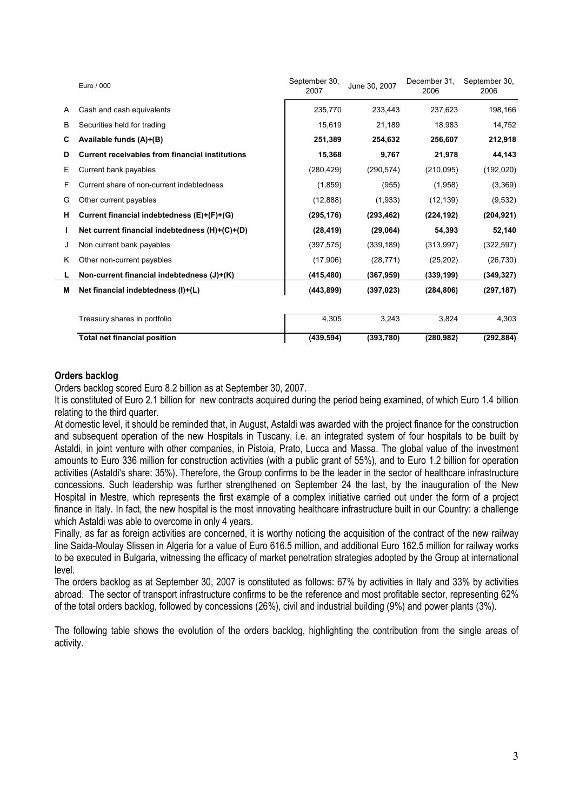|   | Euro / 000                                             | September 30,<br>2007 | June 30, 2007 | December 31,<br>2006 | September 30,<br>2006 |
|---|--------------------------------------------------------|-----------------------|---------------|----------------------|-----------------------|
| A | Cash and cash equivalents                              | 235,770               | 233,443       | 237,623              | 198,166               |
| B | Securities held for trading                            | 15.619                | 21,189        | 18.983               | 14.752                |
| C | Available funds (A)+(B)                                | 251,389               | 254,632       | 256,607              | 212,918               |
| D | <b>Current receivables from financial institutions</b> | 15,368                | 9,767         | 21,978               | 44,143                |
| Е | Current bank payables                                  | (280, 429)            | (290, 574)    | (210, 095)           | (192,020)             |
| F | Current share of non-current indebtedness              | (1, 859)              | (955)         | (1,958)              | (3,369)               |
| G | Other current payables                                 | (12, 888)             | (1,933)       | (12, 139)            | (9,532)               |
| н | Current financial indebtedness (E)+(F)+(G)             | (295, 176)            | (293, 462)    | (224, 192)           | (204, 921)            |
|   | Net current financial indebtedness (H)+(C)+(D)         | (28, 419)             | (29,064)      | 54,393               | 52,140                |
| J | Non current bank payables                              | (397, 575)            | (339, 189)    | (313,997)            | (322, 597)            |
| K | Other non-current payables                             | (17,906)              | (28, 771)     | (25, 202)            | (26, 730)             |
| L | Non-current financial indebtedness (J)+(K)             | (415,480)             | (367, 959)    | (339,199)            | (349,327)             |
| М | Net financial indebtedness (I)+(L)                     | (443, 899)            | (397, 023)    | (284, 806)           | (297, 187)            |
|   | Treasury shares in portfolio                           | 4,305                 | 3,243         | 3,824                | 4,303                 |
|   | <b>Total net financial position</b>                    | (439, 594)            | (393,780)     | (280, 982)           | (292, 884)            |

### **Orders backlog**

Orders backlog scored Euro 8.2 billion as at September 30, 2007.

It is constituted of Euro 2.1 billion for new contracts acquired during the period being examined, of which Euro 1.4 billion relating to the third quarter.

At domestic level, it should be reminded that, in August, Astaldi was awarded with the project finance for the construction and subsequent operation of the new Hospitals in Tuscany, i.e. an integrated system of four hospitals to be built by Astaldi, in joint venture with other companies, in Pistoia, Prato, Lucca and Massa. The global value of the investment amounts to Euro 336 million for construction activities (with a public grant of 55%), and to Euro 1.2 billion for operation activities (Astaldi's share: 35%). Therefore, the Group confirms to be the leader in the sector of healthcare infrastructure concessions. Such leadership was further strengthened on September 24 the last, by the inauguration of the New Hospital in Mestre, which represents the first example of a complex initiative carried out under the form of a project finance in Italy. In fact, the new hospital is the most innovating healthcare infrastructure built in our Country: a challenge which Astaldi was able to overcome in only 4 years.

Finally, as far as foreign activities are concerned, it is worthy noticing the acquisition of the contract of the new railway line Saida-Moulay Slissen in Algeria for a value of Euro 616.5 million, and additional Euro 162.5 million for railway works to be executed in Bulgaria, witnessing the efficacy of market penetration strategies adopted by the Group at international level.

The orders backlog as at September 30, 2007 is constituted as follows: 67% by activities in Italy and 33% by activities abroad. The sector of transport infrastructure confirms to be the reference and most profitable sector, representing 62% of the total orders backlog, followed by concessions (26%), civil and industrial building (9%) and power plants (3%).

The following table shows the evolution of the orders backlog, highlighting the contribution from the single areas of activity.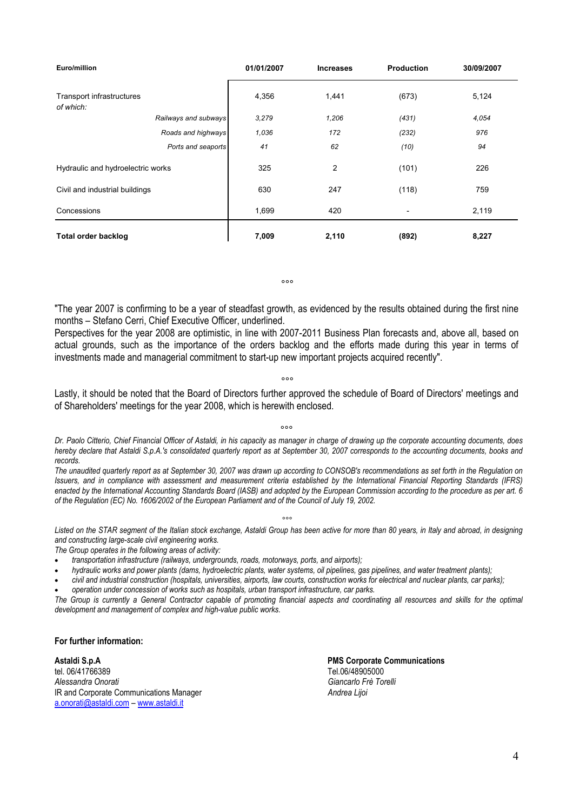| Euro/million                           |                      | 01/01/2007 | <b>Increases</b> | <b>Production</b>        | 30/09/2007 |
|----------------------------------------|----------------------|------------|------------------|--------------------------|------------|
| Transport infrastructures<br>of which: |                      | 4,356      | 1,441            | (673)                    | 5,124      |
|                                        | Railways and subways | 3,279      | 1,206            | (431)                    | 4,054      |
|                                        | Roads and highways   | 1,036      | 172              | (232)                    | 976        |
|                                        | Ports and seaports   | 41         | 62               | (10)                     | 94         |
| Hydraulic and hydroelectric works      |                      | 325        | $\overline{2}$   | (101)                    | 226        |
| Civil and industrial buildings         |                      | 630        | 247              | (118)                    | 759        |
| Concessions                            |                      | 1,699      | 420              | $\overline{\phantom{0}}$ | 2,119      |
| <b>Total order backlog</b>             |                      | 7,009      | 2,110            | (892)                    | 8,227      |

*°°°* 

"The year 2007 is confirming to be a year of steadfast growth, as evidenced by the results obtained during the first nine months – Stefano Cerri, Chief Executive Officer, underlined.

Perspectives for the year 2008 are optimistic, in line with 2007-2011 Business Plan forecasts and, above all, based on actual grounds, such as the importance of the orders backlog and the efforts made during this year in terms of investments made and managerial commitment to start-up new important projects acquired recently".

*°°°* 

Lastly, it should be noted that the Board of Directors further approved the schedule of Board of Directors' meetings and of Shareholders' meetings for the year 2008, which is herewith enclosed.

°°°

*Dr. Paolo Citterio, Chief Financial Officer of Astaldi, in his capacity as manager in charge of drawing up the corporate accounting documents, does hereby declare that Astaldi S.p.A.'s consolidated quarterly report as at September 30, 2007 corresponds to the accounting documents, books and records.* 

*The unaudited quarterly report as at September 30, 2007 was drawn up according to CONSOB's recommendations as set forth in the Regulation on Issuers, and in compliance with assessment and measurement criteria established by the International Financial Reporting Standards (IFRS) enacted by the International Accounting Standards Board (IASB) and adopted by the European Commission according to the procedure as per art. 6 of the Regulation (EC) No. 1606/2002 of the European Parliament and of the Council of July 19, 2002.* 

#### *°°°*

Listed on the STAR segment of the Italian stock exchange, Astaldi Group has been active for more than 80 years, in Italy and abroad, in designing *and constructing large-scale civil engineering works.* 

*The Group operates in the following areas of activity:* 

- *transportation infrastructure (railways, undergrounds, roads, motorways, ports, and airports);*
- *hydraulic works and power plants (dams, hydroelectric plants, water systems, oil pipelines, gas pipelines, and water treatment plants);*
- *civil and industrial construction (hospitals, universities, airports, law courts, construction works for electrical and nuclear plants, car parks);*
- *operation under concession of works such as hospitals, urban transport infrastructure, car parks.*

The Group is currently a General Contractor capable of promoting financial aspects and coordinating all resources and skills for the optimal *development and management of complex and high-value public works.* 

**For further information:** 

**Astaldi S.p.A**<br> **Astaldi S.p.A** PMS Corporate Communications<br>
Tel 06/41766389 tel. 06/41766389 *Alessandra Onorati Giancarlo Frè Torelli* **IR and Corporate Communications Manager** a.onorati@astaldi.com – www.astaldi.it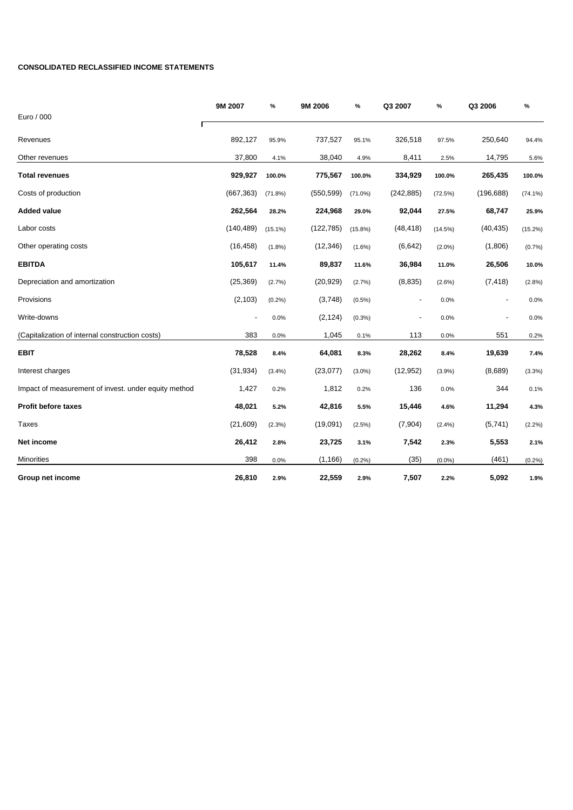#### **CONSOLIDATED RECLASSIFIED INCOME STATEMENTS**

|                                                      | 9M 2007    | $\%$       | 9M 2006    | %          | Q3 2007                  | %         | Q3 2006                      | %          |
|------------------------------------------------------|------------|------------|------------|------------|--------------------------|-----------|------------------------------|------------|
| Euro / 000                                           |            |            |            |            |                          |           |                              |            |
| Revenues                                             | 892,127    | 95.9%      | 737,527    | 95.1%      | 326,518                  | 97.5%     | 250,640                      | 94.4%      |
| Other revenues                                       | 37,800     | 4.1%       | 38,040     | 4.9%       | 8,411                    | 2.5%      | 14,795                       | 5.6%       |
| <b>Total revenues</b>                                | 929,927    | 100.0%     | 775,567    | 100.0%     | 334,929                  | 100.0%    | 265,435                      | 100.0%     |
| Costs of production                                  | (667, 363) | (71.8%)    | (550, 599) | $(71.0\%)$ | (242, 885)               | (72.5%)   | (196, 688)                   | $(74.1\%)$ |
| <b>Added value</b>                                   | 262,564    | 28.2%      | 224,968    | 29.0%      | 92,044                   | 27.5%     | 68,747                       | 25.9%      |
| Labor costs                                          | (140, 489) | $(15.1\%)$ | (122, 785) | $(15.8\%)$ | (48, 418)                | (14.5%)   | (40, 435)                    | (15.2%)    |
| Other operating costs                                | (16, 458)  | (1.8%)     | (12, 346)  | $(1.6\%)$  | (6,642)                  | $(2.0\%)$ | (1,806)                      | (0.7%      |
| <b>EBITDA</b>                                        | 105,617    | 11.4%      | 89,837     | 11.6%      | 36,984                   | 11.0%     | 26,506                       | 10.0%      |
| Depreciation and amortization                        | (25, 369)  | (2.7%)     | (20, 929)  | (2.7%)     | (8, 835)                 | $(2.6\%)$ | (7, 418)                     | (2.8%)     |
| Provisions                                           | (2, 103)   | (0.2%)     | (3,748)    | $(0.5\%)$  | $\overline{\phantom{a}}$ | 0.0%      | $\qquad \qquad \blacksquare$ | 0.0%       |
| Write-downs                                          |            | 0.0%       | (2, 124)   | (0.3%)     | -                        | 0.0%      |                              | 0.0%       |
| (Capitalization of internal construction costs)      | 383        | 0.0%       | 1,045      | 0.1%       | 113                      | 0.0%      | 551                          | 0.2%       |
| <b>EBIT</b>                                          | 78,528     | 8.4%       | 64,081     | 8.3%       | 28,262                   | 8.4%      | 19,639                       | 7.4%       |
| Interest charges                                     | (31, 934)  | (3.4%)     | (23,077)   | $(3.0\%)$  | (12, 952)                | $(3.9\%)$ | (8,689)                      | (3.3%)     |
| Impact of measurement of invest. under equity method | 1,427      | 0.2%       | 1,812      | 0.2%       | 136                      | 0.0%      | 344                          | 0.1%       |
| <b>Profit before taxes</b>                           | 48,021     | 5.2%       | 42,816     | 5.5%       | 15,446                   | 4.6%      | 11,294                       | 4.3%       |
| <b>Taxes</b>                                         | (21, 609)  | (2.3%)     | (19,091)   | (2.5%)     | (7,904)                  | (2.4%)    | (5,741)                      | (2.2%)     |
| Net income                                           | 26,412     | 2.8%       | 23,725     | 3.1%       | 7,542                    | 2.3%      | 5,553                        | 2.1%       |
| Minorities                                           | 398        | 0.0%       | (1, 166)   | (0.2%)     | (35)                     | $(0.0\%)$ | (461)                        | (0.2%)     |
| Group net income                                     | 26,810     | 2.9%       | 22,559     | 2.9%       | 7,507                    | 2.2%      | 5,092                        | 1.9%       |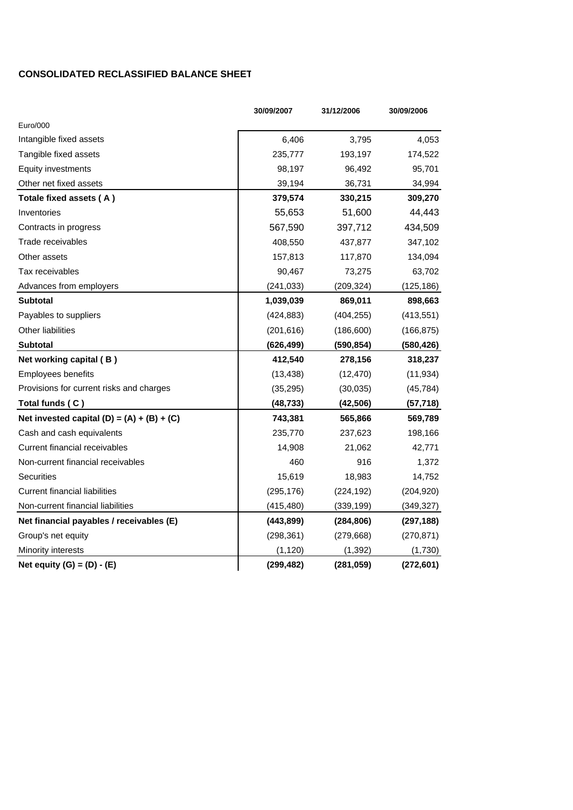## **CONSOLIDATED RECLASSIFIED BALANCE SHEET**

|                                              | 30/09/2007 | 31/12/2006 | 30/09/2006 |
|----------------------------------------------|------------|------------|------------|
| Euro/000                                     |            |            |            |
| Intangible fixed assets                      | 6,406      | 3,795      | 4,053      |
| Tangible fixed assets                        | 235,777    | 193,197    | 174,522    |
| Equity investments                           | 98,197     | 96,492     | 95,701     |
| Other net fixed assets                       | 39,194     | 36,731     | 34,994     |
| Totale fixed assets (A)                      | 379,574    | 330,215    | 309,270    |
| Inventories                                  | 55,653     | 51,600     | 44,443     |
| Contracts in progress                        | 567,590    | 397,712    | 434,509    |
| Trade receivables                            | 408,550    | 437,877    | 347,102    |
| Other assets                                 | 157,813    | 117,870    | 134,094    |
| Tax receivables                              | 90,467     | 73,275     | 63,702     |
| Advances from employers                      | (241, 033) | (209, 324) | (125, 186) |
| <b>Subtotal</b>                              | 1,039,039  | 869,011    | 898,663    |
| Payables to suppliers                        | (424, 883) | (404, 255) | (413, 551) |
| Other liabilities                            | (201, 616) | (186, 600) | (166, 875) |
| <b>Subtotal</b>                              | (626, 499) | (590, 854) | (580, 426) |
| Net working capital (B)                      | 412,540    | 278,156    | 318,237    |
| <b>Employees benefits</b>                    | (13, 438)  | (12, 470)  | (11, 934)  |
| Provisions for current risks and charges     | (35, 295)  | (30,035)   | (45, 784)  |
| Total funds (C)                              | (48, 733)  | (42, 506)  | (57, 718)  |
| Net invested capital $(D) = (A) + (B) + (C)$ | 743,381    | 565,866    | 569,789    |
| Cash and cash equivalents                    | 235,770    | 237,623    | 198,166    |
| Current financial receivables                | 14,908     | 21,062     | 42,771     |
| Non-current financial receivables            | 460        | 916        | 1,372      |
| Securities                                   | 15,619     | 18,983     | 14,752     |
| <b>Current financial liabilities</b>         | (295, 176) | (224, 192) | (204, 920) |
| Non-current financial liabilities            | (415, 480) | (339, 199) | (349, 327) |
| Net financial payables / receivables (E)     | (443, 899) | (284, 806) | (297, 188) |
| Group's net equity                           | (298, 361) | (279, 668) | (270, 871) |
| Minority interests                           | (1, 120)   | (1, 392)   | (1,730)    |
| Net equity $(G) = (D) - (E)$                 | (299, 482) | (281, 059) | (272, 601) |